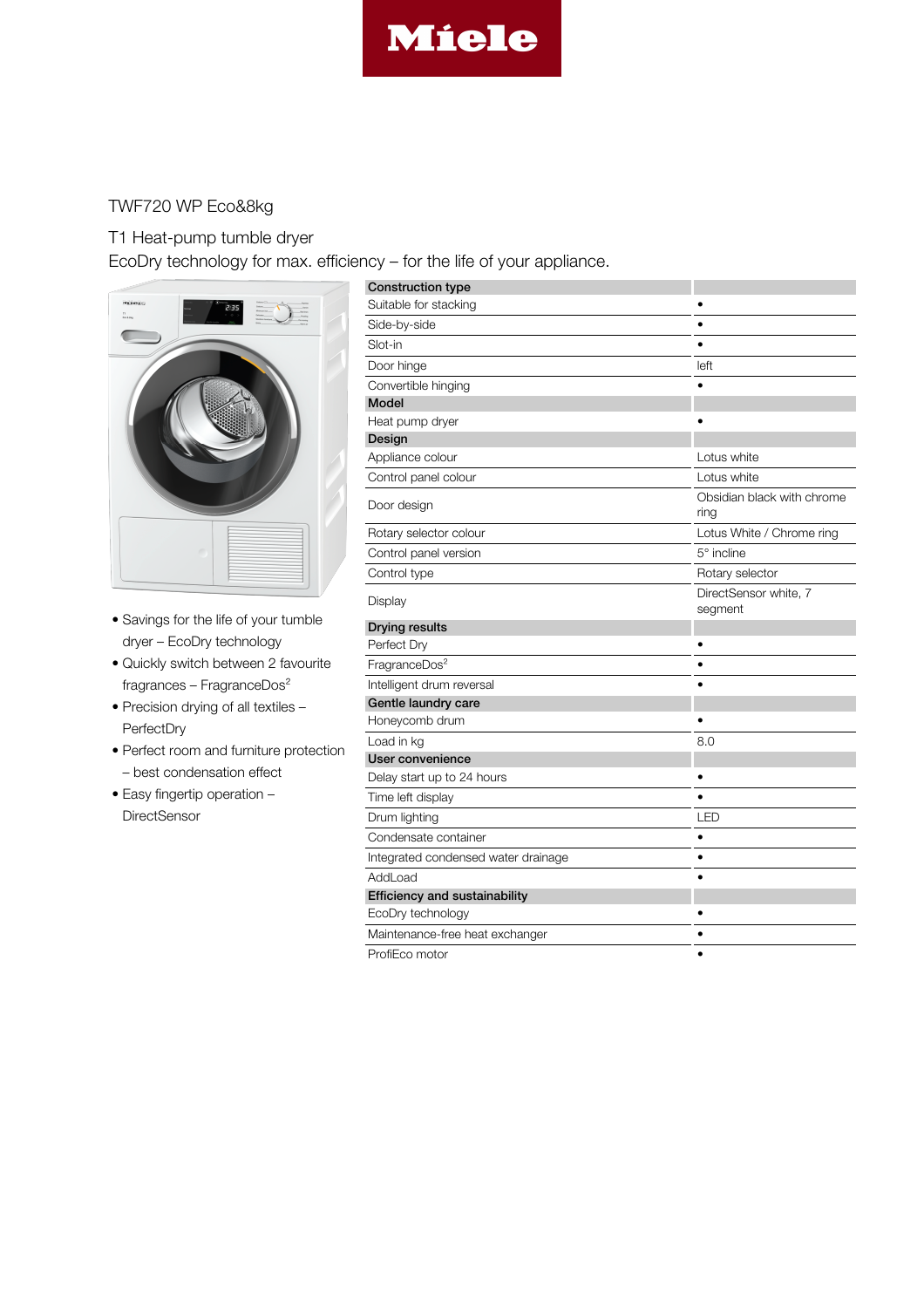

## TWF720 WP Eco&8kg

## T1 Heat-pump tumble dryer

EcoDry technology for max. efficiency – for the life of your appliance.



- Savings for the life of your tumble dryer – EcoDry technology
- Quickly switch between 2 favourite fragrances – FragranceDos²
- Precision drying of all textiles PerfectDry
- Perfect room and furniture protection
	- best condensation effect
- Easy fingertip operation **DirectSensor**

| <b>Construction type</b>             |                                    |
|--------------------------------------|------------------------------------|
| Suitable for stacking                | ٠                                  |
| Side-by-side                         |                                    |
| Slot-in                              | $\bullet$                          |
| Door hinge                           | left                               |
| Convertible hinging                  |                                    |
| Model                                |                                    |
| Heat pump dryer                      |                                    |
| Design                               |                                    |
| Appliance colour                     | Lotus white                        |
| Control panel colour                 | Lotus white                        |
| Door design                          | Obsidian black with chrome<br>ring |
| Rotary selector colour               | Lotus White / Chrome ring          |
| Control panel version                | $5^\circ$ incline                  |
| Control type                         | Rotary selector                    |
| Display                              | DirectSensor white, 7<br>segment   |
| <b>Drying results</b>                |                                    |
| Perfect Dry                          |                                    |
| FragranceDos <sup>2</sup>            | $\bullet$                          |
| Intelligent drum reversal            |                                    |
| Gentle laundry care                  |                                    |
| Honeycomb drum                       |                                    |
| Load in kg                           | 8.0                                |
| User convenience                     |                                    |
| Delay start up to 24 hours           |                                    |
| Time left display                    |                                    |
| Drum lighting                        | LED                                |
| Condensate container                 | $\bullet$                          |
| Integrated condensed water drainage  | $\bullet$                          |
| AddLoad                              |                                    |
| <b>Efficiency and sustainability</b> |                                    |
| EcoDry technology                    |                                    |
| Maintenance-free heat exchanger      |                                    |
| ProfiEco motor                       | ٠                                  |